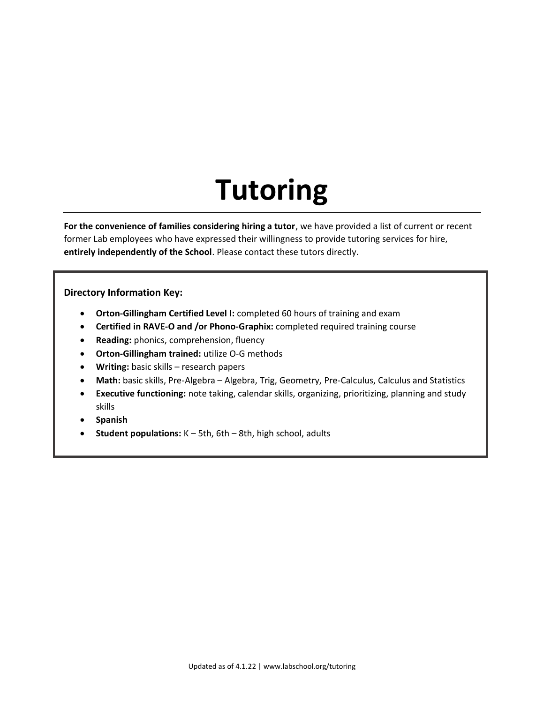# **Tutoring**

**For the convenience of families considering hiring a tutor**, we have provided a list of current or recent former Lab employees who have expressed their willingness to provide tutoring services for hire, **entirely independently of the School**. Please contact these tutors directly.

#### **Directory Information Key:**

- **Orton-Gillingham Certified Level I:** completed 60 hours of training and exam
- **Certified in RAVE-O and /or Phono-Graphix:** completed required training course
- **Reading:** phonics, comprehension, fluency
- **Orton-Gillingham trained:** utilize O-G methods
- **Writing:** basic skills research papers
- **Math:** basic skills, Pre-Algebra Algebra, Trig, Geometry, Pre-Calculus, Calculus and Statistics
- **Executive functioning:** note taking, calendar skills, organizing, prioritizing, planning and study skills
- **Spanish**
- **Student populations:** K 5th, 6th 8th, high school, adults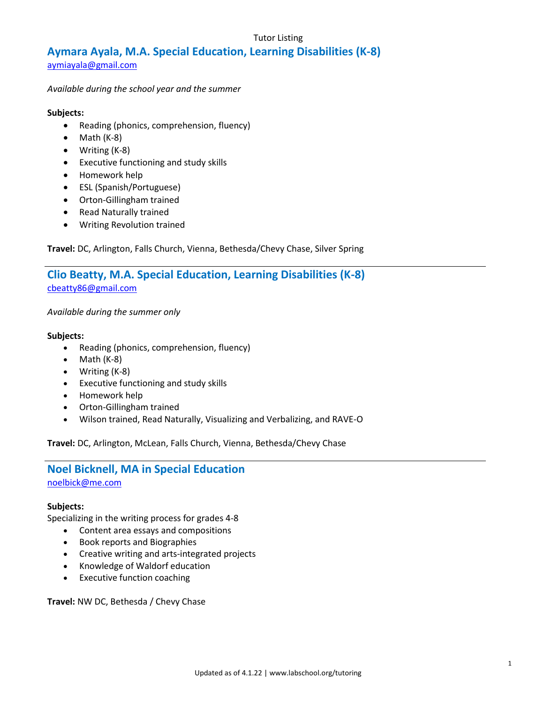# Tutor Listing

# **Aymara Ayala, M.A. Special Education, Learning Disabilities (K-8)**

aymiayala@gmail[.com](mailto:aymiayala@gmail.com)

*Available during the school year and the summer*

#### **Subjects:**

- Reading (phonics, comprehension, fluency)
- Math (K-8)
- Writing (K-8)
- Executive functioning and study skills
- Homework help
- ESL (Spanish/Portuguese)
- Orton-Gillingham trained
- Read Naturally trained
- Writing Revolution trained

**Travel:** DC, Arlington, Falls Church, Vienna, Bethesda/Chevy Chase, Silver Spring

# **Clio Beatty, M.A. Special Education, Learning Disabilities (K-8)** [cbeatty86@gmail.com](mailto:cbeatty86@gmail.com)

*Available during the summer only*

#### **Subjects:**

- Reading (phonics, comprehension, fluency)
- $\bullet$  Math (K-8)
- Writing (K-8)
- Executive functioning and study skills
- Homework help
- Orton-Gillingham trained
- Wilson trained, Read Naturally, Visualizing and Verbalizing, and RAVE-O

**Travel:** DC, Arlington, McLean, Falls Church, Vienna, Bethesda/Chevy Chase

# **Noel Bicknell, MA in Special Education**

[noelbick@me.com](mailto:noelbick@me.com)

#### **Subjects:**

Specializing in the writing process for grades 4-8

- Content area essays and compositions
- Book reports and Biographies
- Creative writing and arts-integrated projects
- Knowledge of Waldorf education
- Executive function coaching

**Travel:** NW DC, Bethesda / Chevy Chase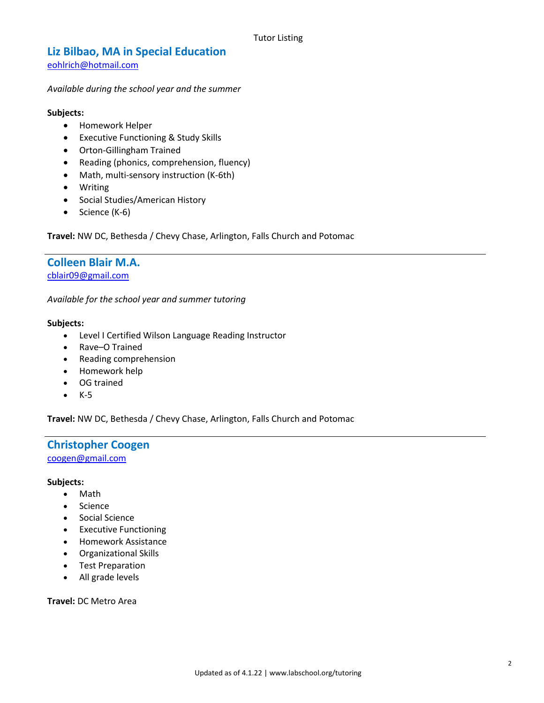# **Liz Bilbao, MA in Special Education**

[eohlrich@hotmail.com](mailto:eohlrich@hotmail.com)

#### *Available during the school year and the summer*

#### **Subjects:**

- **•** Homework Helper
- Executive Functioning & Study Skills
- Orton-Gillingham Trained
- Reading (phonics, comprehension, fluency)
- Math, multi-sensory instruction (K-6th)
- Writing
- Social Studies/American History
- $\bullet$  Science (K-6)

**Travel:** NW DC, Bethesda / Chevy Chase, Arlington, Falls Church and Potomac

# **Colleen Blair M.A.**

[cblair09@gmail.com](mailto:cblair09@gmail.com)

*Available for the school year and summer tutoring*

#### **Subjects:**

- Level I Certified Wilson Language Reading Instructor
- Rave–O Trained
- Reading comprehension
- Homework help
- OG trained
- $\bullet$  K-5

**Travel:** NW DC, Bethesda / Chevy Chase, Arlington, Falls Church and Potomac

## **Christopher Coogen** [coogen@gmail.com](mailto:coogen@gmail.com)

#### **Subjects:**

- Math
- Science
- **•** Social Science
- Executive Functioning
- Homework Assistance
- Organizational Skills
- Test Preparation
- All grade levels

**Travel:** DC Metro Area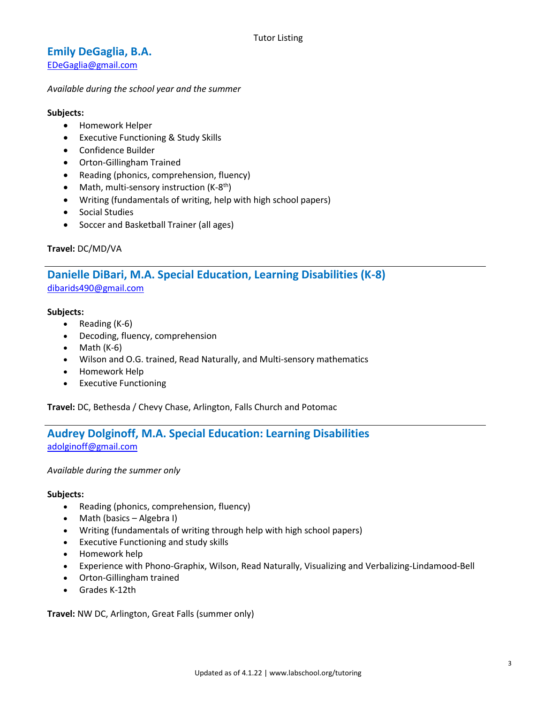# **Emily DeGaglia, B.A.**

[EDeGaglia@gmail.com](mailto:EDeGaglia@gmail.com)

#### *Available during the school year and the summer*

#### **Subjects:**

- Homework Helper
- Executive Functioning & Study Skills
- Confidence Builder
- Orton-Gillingham Trained
- Reading (phonics, comprehension, fluency)
- Math, multi-sensory instruction (K-8<sup>th</sup>)
- Writing (fundamentals of writing, help with high school papers)
- Social Studies
- Soccer and Basketball Trainer (all ages)

#### **Travel:** DC/MD/VA

# **Danielle DiBari, M.A. Special Education, Learning Disabilities (K-8)** [dibarids490@gmail.com](mailto:dibarids490@gmail.com)

#### **Subjects:**

- Reading (K-6)
- Decoding, fluency, comprehension
- $\bullet$  Math (K-6)
- Wilson and O.G. trained, Read Naturally, and Multi-sensory mathematics
- Homework Help
- Executive Functioning

**Travel:** DC, Bethesda / Chevy Chase, Arlington, Falls Church and Potomac

# **Audrey Dolginoff, M.A. Special Education: Learning Disabilities** [adolginoff@gmail.com](mailto:adolginoff@gmail.com)

*Available during the summer only*

#### **Subjects:**

- Reading (phonics, comprehension, fluency)
- Math (basics Algebra I)
- Writing (fundamentals of writing through help with high school papers)
- Executive Functioning and study skills
- Homework help
- Experience with Phono-Graphix, Wilson, Read Naturally, Visualizing and Verbalizing-Lindamood-Bell
- Orton-Gillingham trained
- Grades K-12th

**Travel:** NW DC, Arlington, Great Falls (summer only)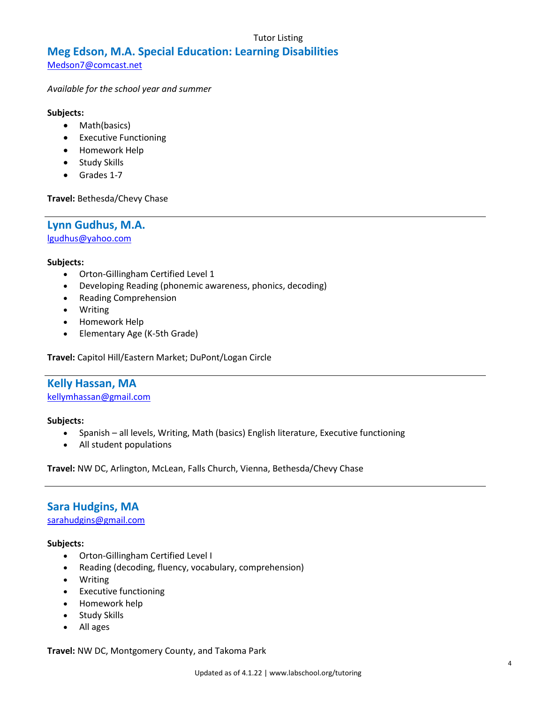#### Tutor Listing

# **Meg Edson, M.A. Special Education: Learning Disabilities**

[Medson7@comcast.net](mailto:Medson7@comcast.net)

*Available for the school year and summer*

#### **Subjects:**

- Math(basics)
- Executive Functioning
- Homework Help
- Study Skills
- Grades 1-7

**Travel:** Bethesda/Chevy Chase

**Lynn Gudhus, M.A.** [lgudhus@yahoo.com](mailto:lgudhus@yahoo.com)

#### **Subjects:**

- Orton-Gillingham Certified Level 1
- Developing Reading (phonemic awareness, phonics, decoding)
- Reading Comprehension
- Writing
- Homework Help
- Elementary Age (K-5th Grade)

**Travel:** Capitol Hill/Eastern Market; DuPont/Logan Circle

# **Kelly Hassan, MA**

[kellymhassan@gmail.com](mailto:kellymhassan@gmail.com)

#### **Subjects:**

- Spanish all levels, Writing, Math (basics) English literature, Executive functioning
- All student populations

**Travel:** NW DC, Arlington, McLean, Falls Church, Vienna, Bethesda/Chevy Chase

# **Sara Hudgins, MA**

[sarahudgins@gmail.com](mailto:sarahudgins@gmail.com)

#### **Subjects:**

- Orton-Gillingham Certified Level I
- Reading (decoding, fluency, vocabulary, comprehension)
- Writing
- Executive functioning
- Homework help
- Study Skills
- All ages

**Travel:** NW DC, Montgomery County, and Takoma Park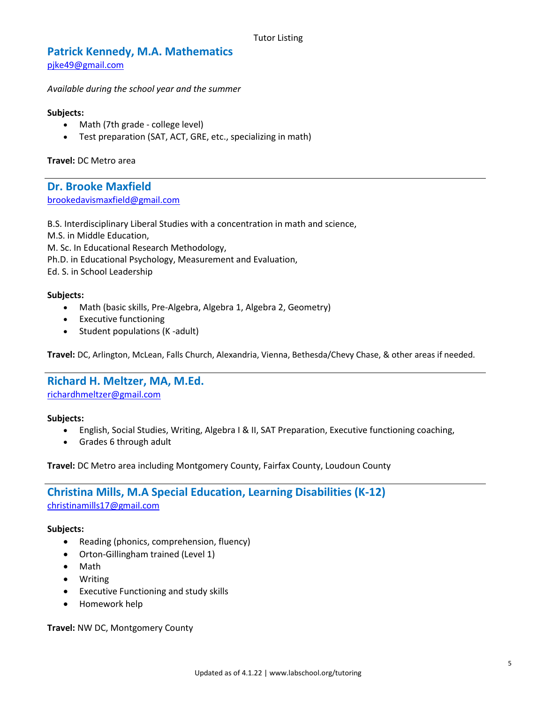# **Patrick Kennedy, M.A. Mathematics**

[pjke49@gmail.com](mailto:pjke49@gmail.com)

*Available during the school year and the summer*

#### **Subjects:**

- Math (7th grade college level)
- Test preparation (SAT, ACT, GRE, etc., specializing in math)

**Travel:** DC Metro area

**Dr. Brooke Maxfield** [brookedavismaxfield@gmail.com](mailto:brookedavismaxfield@gmail.com)

B.S. Interdisciplinary Liberal Studies with a concentration in math and science,

M.S. in Middle Education,

M. Sc. In Educational Research Methodology,

Ph.D. in Educational Psychology, Measurement and Evaluation,

Ed. S. in School Leadership

#### **Subjects:**

- Math (basic skills, Pre-Algebra, Algebra 1, Algebra 2, Geometry)
- Executive functioning
- Student populations (K-adult)

**Travel:** DC, Arlington, McLean, Falls Church, Alexandria, Vienna, Bethesda/Chevy Chase, & other areas if needed.

## **Richard H. Meltzer, MA, M.Ed.**

[richardhmeltzer@gmail.com](mailto:richardhmeltzer@gmail.com)

#### **Subjects:**

- English, Social Studies, Writing, Algebra I & II, SAT Preparation, Executive functioning coaching,
- Grades 6 through adult

**Travel:** DC Metro area including Montgomery County, Fairfax County, Loudoun County

# **Christina Mills, M.A Special Education, Learning Disabilities (K-12)** [christinamills17@gmail.com](mailto:christinamills17@gmail.com)

#### **Subjects:**

- Reading (phonics, comprehension, fluency)
- Orton-Gillingham trained (Level 1)
- Math
- Writing
- Executive Functioning and study skills
- Homework help

**Travel:** NW DC, Montgomery County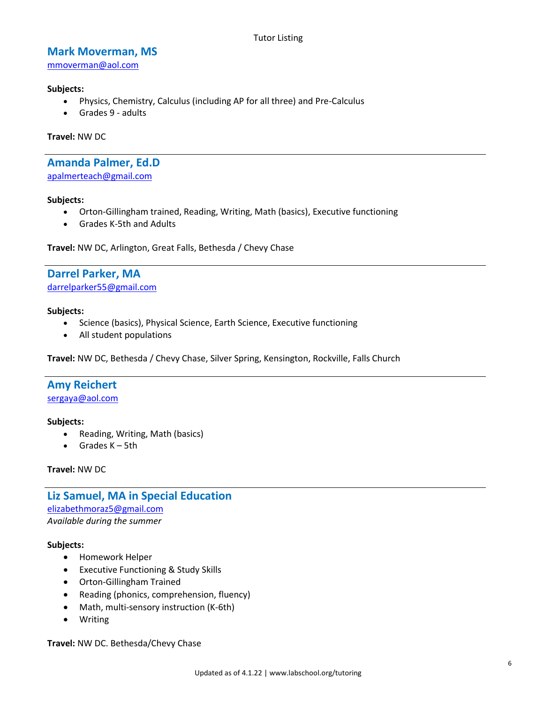# **Mark Moverman, MS**

[mmoverman@aol.com](mailto:mmoverman@aol.com)

#### **Subjects:**

- Physics, Chemistry, Calculus (including AP for all three) and Pre-Calculus
- Grades 9 adults

**Travel:** NW DC

#### **Amanda Palmer, Ed.D** [apalmerteach@gmail.com](mailto:apalmerteach@gmail.com)

#### **Subjects:**

- Orton-Gillingham trained, Reading, Writing, Math (basics), Executive functioning
- Grades K-5th and Adults

**Travel:** NW DC, Arlington, Great Falls, Bethesda / Chevy Chase

## **Darrel Parker, MA** [darrelparker55@gmail.com](mailto:darrelparker55@gmail.com)

#### **Subjects:**

- Science (basics), Physical Science, Earth Science, Executive functioning
- All student populations

**Travel:** NW DC, Bethesda / Chevy Chase, Silver Spring, Kensington, Rockville, Falls Church

# **Amy Reichert**

[sergaya@aol.com](mailto:sergaya@aol.com)

#### **Subjects:**

- Reading, Writing, Math (basics)
- Grades K 5th

#### **Travel:** NW DC

**Liz Samuel, MA in Special Education** [elizabethmoraz5@gmail.com](mailto:elizabethmoraz5@gmail.com) *Available during the summer*

#### **Subjects:**

- Homework Helper
- Executive Functioning & Study Skills
- Orton-Gillingham Trained
- Reading (phonics, comprehension, fluency)
- Math, multi-sensory instruction (K-6th)
- Writing

**Travel:** NW DC. Bethesda/Chevy Chase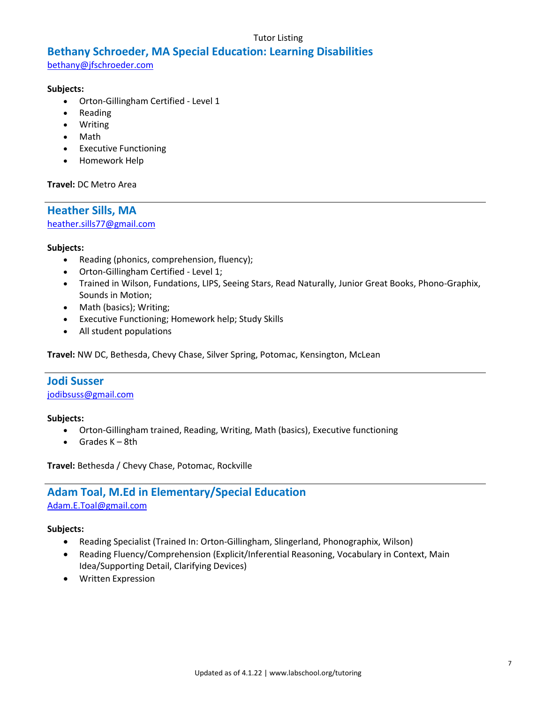#### Tutor Listing

# **Bethany Schroeder, MA Special Education: Learning Disabilities**

[bethany@jfschroeder.com](mailto:bethany@jfschroeder.com)

#### **Subjects:**

- Orton-Gillingham Certified Level 1
- Reading
- Writing
- Math
- Executive Functioning
- Homework Help

#### **Travel:** DC Metro Area

**Heather Sills, MA** [heather.sills77@gmail.com](mailto:heather.sills77@gmail.com)

#### **Subjects:**

- Reading (phonics, comprehension, fluency);
- Orton-Gillingham Certified Level 1;
- Trained in Wilson, Fundations, LIPS, Seeing Stars, Read Naturally, Junior Great Books, Phono-Graphix, Sounds in Motion;
- Math (basics); Writing;
- Executive Functioning; Homework help; Study Skills
- All student populations

**Travel:** NW DC, Bethesda, Chevy Chase, Silver Spring, Potomac, Kensington, McLean

# **Jodi Susser**

[jodibsuss@gmail.com](mailto:jodibsuss@gmail.com)

#### **Subjects:**

- Orton-Gillingham trained, Reading, Writing, Math (basics), Executive functioning
- $\bullet$  Grades  $K 8th$

**Travel:** Bethesda / Chevy Chase, Potomac, Rockville

# **Adam Toal, M.Ed in Elementary/Special Education** [Adam.E.Toal@gmail.com](mailto:Adam.E.Toal@gmail.com)

#### **Subjects:**

- Reading Specialist (Trained In: Orton-Gillingham, Slingerland, Phonographix, Wilson)
- Reading Fluency/Comprehension (Explicit/Inferential Reasoning, Vocabulary in Context, Main Idea/Supporting Detail, Clarifying Devices)
- Written Expression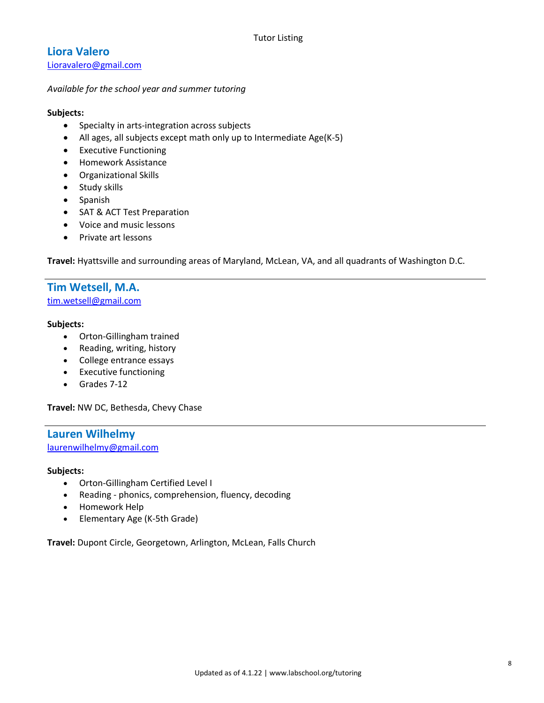# **Liora Valero**

[Lioravalero@gmail.com](mailto:Lioravalero@gmail.com)

#### *Available for the school year and summer tutoring*

#### **Subjects:**

- Specialty in arts-integration across subjects
- All ages, all subjects except math only up to Intermediate Age(K-5)
- Executive Functioning
- **•** Homework Assistance
- Organizational Skills
- Study skills
- Spanish
- SAT & ACT Test Preparation
- Voice and music lessons
- Private art lessons

**Travel:** Hyattsville and surrounding areas of Maryland, McLean, VA, and all quadrants of Washington D.C.

# **Tim Wetsell, M.A.**

[tim.wetsell@gmail.com](mailto:tim.wetsell@gmail.com)

#### **Subjects:**

- Orton-Gillingham trained
- Reading, writing, history
- College entrance essays
- Executive functioning
- Grades 7-12

**Travel:** NW DC, Bethesda, Chevy Chase

#### **Lauren Wilhelmy** [laurenwilhelmy@gmail.com](mailto:laurenwilhelmy@gmail.com)

#### **Subjects:**

- Orton-Gillingham Certified Level I
- Reading phonics, comprehension, fluency, decoding
- Homework Help
- Elementary Age (K-5th Grade)

**Travel:** Dupont Circle, Georgetown, Arlington, McLean, Falls Church